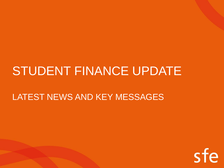## LATEST NEWS AND KEY MESSAGES

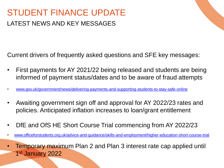## STUDENT FINANCE UPDATE LATEST NEWS AND KEY MESSAGES

Current drivers of frequently asked questions and SFE key messages:

- First payments for AY 2021/22 being released and students are being informed of payment status/dates and to be aware of fraud attempts
- [www.gov.uk/government/news/delivering-payments-and-supporting-students-to-stay-safe-online](http://www.gov.uk/government/news/delivering-payments-and-supporting-students-to-stay-safe-online)
- Awaiting government sign off and approval for AY 2022/23 rates and policies. Anticipated inflation increases to loan/grant entitlement
- DfE and OfS HE Short Course Trial commencing from AY 2022/23
- [www.officeforstudents.org.uk/advice-and-guidance/skills-and-employment/higher-education-short-course-trial](http://www.officeforstudents.org.uk/advice-and-guidance/skills-and-employment/higher-education-short-course-trial)
- Temporary maximum Plan 2 and Plan 3 interest rate cap applied until 1 st January 2022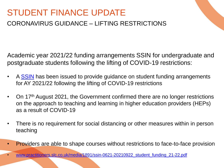### CORONAVIRUS GUIDANCE – LIFTING RESTRICTIONS

Academic year 2021/22 funding arrangements SSIN for undergraduate and postgraduate students following the lifting of COVID-19 restrictions:

- A [SSIN](https://www.practitioners.slc.co.uk/policy/) has been issued to provide guidance on student funding arrangements for AY 2021/22 following the lifting of COVID-19 restrictions
- On 17th August 2021, the Government confirmed there are no longer restrictions on the approach to teaching and learning in higher education providers (HEPs) as a result of COVID-19
- There is no requirement for social distancing or other measures within in person teaching
- Providers are able to shape courses without restrictions to face-to-face provision

• www.practitioners.slc.co.uk/media/1891/ssin-0621-20210922 student funding 21-22.pdf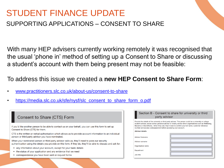### SUPPORTING APPLICATIONS – CONSENT TO SHARE

With many HEP advisers currently working remotely it was recognised that the usual 'phone in' method of setting up a Consent to Share or discussing a student's account with them being present may not be feasible:

### To address this issue we created a **new HEP Consent to Share Form**:

- [www.practitioners.slc.co.uk/about-us/consent-to-share](https://www.practitioners.slc.co.uk/about-us/consent-to-share/)
- [https://media.slc.co.uk/sfe/nysf/slc\\_consent\\_to\\_share\\_form\\_o.pdf](https://media.slc.co.uk/sfe/nysf/slc_consent_to_share_form_o.pdf)

| Consent to Share (CTS) Form                                                                                                                                                                                     | Section B - C<br>pa<br>Provide the details of the univer                                                                  |
|-----------------------------------------------------------------------------------------------------------------------------------------------------------------------------------------------------------------|---------------------------------------------------------------------------------------------------------------------------|
| If you'd like another person to be able to contact us on your behalf, you can use this form to set up<br>Consent to Share (CTS) for them.                                                                       | student advisor, social worker, p<br>Become or StandAlone). When<br>number and access code/pass<br><b>Advisor details</b> |
| CTS is the written or verbal authorisation which allows us to provide account information to an individual<br>person or third party advisor you have nominated.                                                 | Advisor forename                                                                                                          |
| When your nominated person or third party advisor calls us, they'll need to pass our security<br>authentication using the details you provide on this form. If they do, they'll be able to discuss and ask for: | Advisor surname                                                                                                           |
| any information about your account, except for your bank details<br>the status of your application and any evidence that we need                                                                                | <b>Organisation name</b><br>Department                                                                                    |
| correspondence you have been sent or request forms                                                                                                                                                              | Job title                                                                                                                 |

#### onsent to share for university or third arty advisor

sity or third party advisor. This person could be a university or college personal advisor or charity advisor (from organisations such as WeBelong, they call, they'll need to confirm your full name, customer reference word before accessing your account.

| <b>Ivisor details</b>  |  |
|------------------------|--|
|                        |  |
| <b>Ivisor forename</b> |  |
|                        |  |
| <b>Ivisor surname</b>  |  |
| ganisation name        |  |
|                        |  |
| <b>partment</b>        |  |
| <b>b</b> title         |  |
|                        |  |
|                        |  |
|                        |  |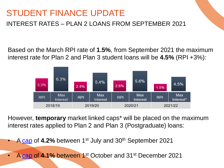INTEREST RATES – PLAN 2 LOANS FROM SEPTEMBER 2021

Based on the March RPI rate of **1.5%**, from September 2021 the maximum interest rate for Plan 2 and Plan 3 student loans will be **4.5%** (RPI +3%):



However, **temporary** market linked caps\* will be placed on the maximum interest rates applied to Plan 2 and Plan 3 (Postgraduate) loans:

• A [cap](https://www.gov.uk/government/news/student-loans-interest-rates-and-repayment-threshold-announcement--2) of **4.2%** between 1st July and 30th September 2021

• A [cap](https://www.gov.uk/government/news/change-to-maximum-plan-2-and-the-postgraduate-student-loan-interest-rates) of **4.1%** between 1st October and 31st December 2021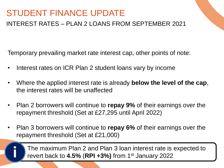### INTEREST RATES – PLAN 2 LOANS FROM SEPTEMBER 2021

Temporary prevailing market rate interest cap, other points of note:

- Interest rates on ICR Plan 2 student loans vary by income
- Where the applied interest rate is already **below the level of the cap**, the interest rates will be unaffected
- Plan 2 borrowers will continue to **repay 9%** of their earnings over the repayment threshold (Set at £27,295 until April 2022)
- Plan 3 borrowers will continue to **repay 6%** of their earnings over the repayment threshold (Set at £21,000)

The maximum Plan 2 and Plan 3 loan interest rate is expected to revert back to **4.5%** (**RPI +3%)** from 1st **i** January 2022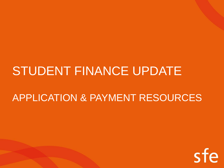## APPLICATION & PAYMENT RESOURCES

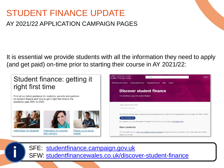### AY 2021/22 APPLICATION CAMPAIGN PAGES

It is essential we provide students with all the information they need to apply (and get paid) on-time prior to starting their course in AY 2021/22:

## Student finance: getting it right first time<br> **information on all stages on the piscover student finance**

Find all our latest guidance for students, parents and partners on student finance and how to get it right first time in the









SFE: [studentfinance.campaign.gov.uk](https://studentfinance.campaign.gov.uk/)<br>SFW: [studentfinancewales.co.uk/discover-student-finance](https://www.studentfinancewales.co.uk/discover-student-finance)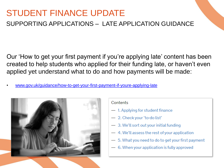### SUPPORTING APPLICATIONS – LATE APPLICATION GUIDANCE

Our 'How to get your first payment if you're applying late' content has been created to help students who applied for their funding late, or haven't even applied yet understand what to do and how payments will be made:

• [www.gov.uk/guidance/how-to-get-your-first-payment-if-youre-applying-late](https://www.gov.uk/guidance/how-to-get-your-first-payment-if-youre-applying-late)

![](_page_8_Picture_4.jpeg)

#### Contents

- 1. Applying for student finance
- 2. Check your 'to-do list'
- $-3.$  We'll sort out your initial funding
- 4. We'll assess the rest of your application
- 5. What you need to do to get your first payment
- 6. When your application is fully approved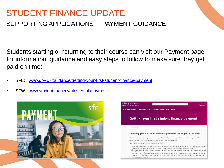### SUPPORTING APPLICATIONS – PAYMENT GUIDANCE

Students starting or returning to their course can visit our Payment page for information, guidance and easy steps to follow to make sure they get paid on time:

- SFE: [www.gov.uk/guidance/getting-your-first-student-finance-payment](http://www.gov.uk/guidance/getting-your-first-student-finance-payment)
- SFW: [www.studentfinancewales.co.uk/payment](https://www.studentfinancewales.co.uk/payment)

![](_page_9_Picture_5.jpeg)

![](_page_9_Picture_6.jpeg)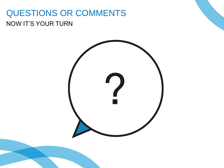## QUESTIONS OR COMMENTS NOW IT'S YOUR TURN

![](_page_10_Picture_1.jpeg)